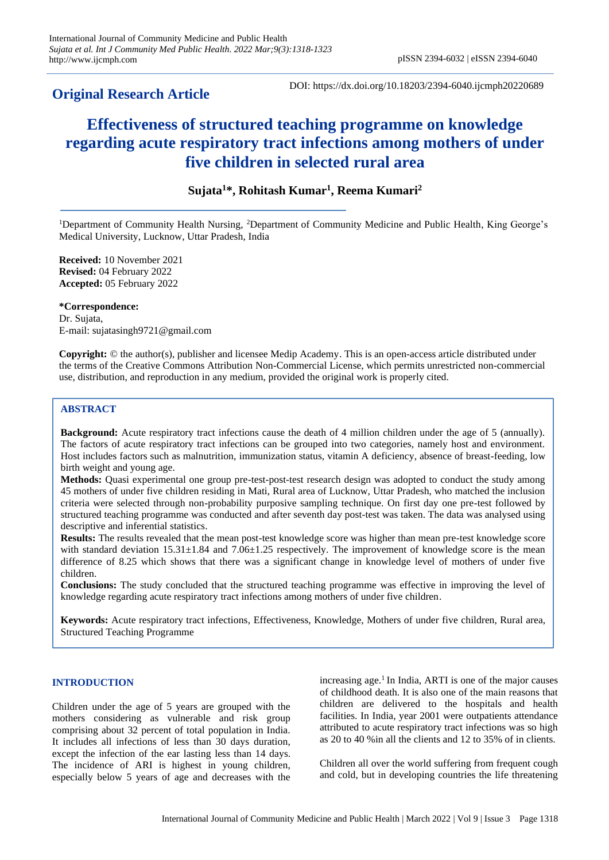# **Original Research Article**

DOI: https://dx.doi.org/10.18203/2394-6040.ijcmph20220689

# **Effectiveness of structured teaching programme on knowledge regarding acute respiratory tract infections among mothers of under five children in selected rural area**

# **Sujata<sup>1</sup>\*, Rohitash Kumar<sup>1</sup> , Reema Kumari<sup>2</sup>**

<sup>1</sup>Department of Community Health Nursing, <sup>2</sup>Department of Community Medicine and Public Health, King George's Medical University, Lucknow, Uttar Pradesh, India

**Received:** 10 November 2021 **Revised:** 04 February 2022 **Accepted:** 05 February 2022

**\*Correspondence:**

Dr. Sujata, E-mail: sujatasingh9721@gmail.com

**Copyright:** © the author(s), publisher and licensee Medip Academy. This is an open-access article distributed under the terms of the Creative Commons Attribution Non-Commercial License, which permits unrestricted non-commercial use, distribution, and reproduction in any medium, provided the original work is properly cited.

# **ABSTRACT**

**Background:** Acute respiratory tract infections cause the death of 4 million children under the age of 5 (annually). The factors of acute respiratory tract infections can be grouped into two categories, namely host and environment. Host includes factors such as malnutrition, immunization status, vitamin A deficiency, absence of breast-feeding, low birth weight and young age.

**Methods:** Quasi experimental one group pre-test-post-test research design was adopted to conduct the study among 45 mothers of under five children residing in Mati, Rural area of Lucknow, Uttar Pradesh, who matched the inclusion criteria were selected through non-probability purposive sampling technique. On first day one pre-test followed by structured teaching programme was conducted and after seventh day post-test was taken. The data was analysed using descriptive and inferential statistics.

**Results:** The results revealed that the mean post-test knowledge score was higher than mean pre-test knowledge score with standard deviation  $15.31\pm1.84$  and  $7.06\pm1.25$  respectively. The improvement of knowledge score is the mean difference of 8.25 which shows that there was a significant change in knowledge level of mothers of under five children.

**Conclusions:** The study concluded that the structured teaching programme was effective in improving the level of knowledge regarding acute respiratory tract infections among mothers of under five children.

**Keywords:** Acute respiratory tract infections, Effectiveness, Knowledge, Mothers of under five children, Rural area, Structured Teaching Programme

## **INTRODUCTION**

Children under the age of 5 years are grouped with the mothers considering as vulnerable and risk group comprising about 32 percent of total population in India. It includes all infections of less than 30 days duration, except the infection of the ear lasting less than 14 days. The incidence of ARI is highest in young children, especially below 5 years of age and decreases with the

increasing age.<sup>1</sup> In India, ARTI is one of the major causes of childhood death. It is also one of the main reasons that children are delivered to the hospitals and health facilities. In India, year 2001 were outpatients attendance attributed to acute respiratory tract infections was so high as 20 to 40 %in all the clients and 12 to 35% of in clients.

Children all over the world suffering from frequent cough and cold, but in developing countries the life threatening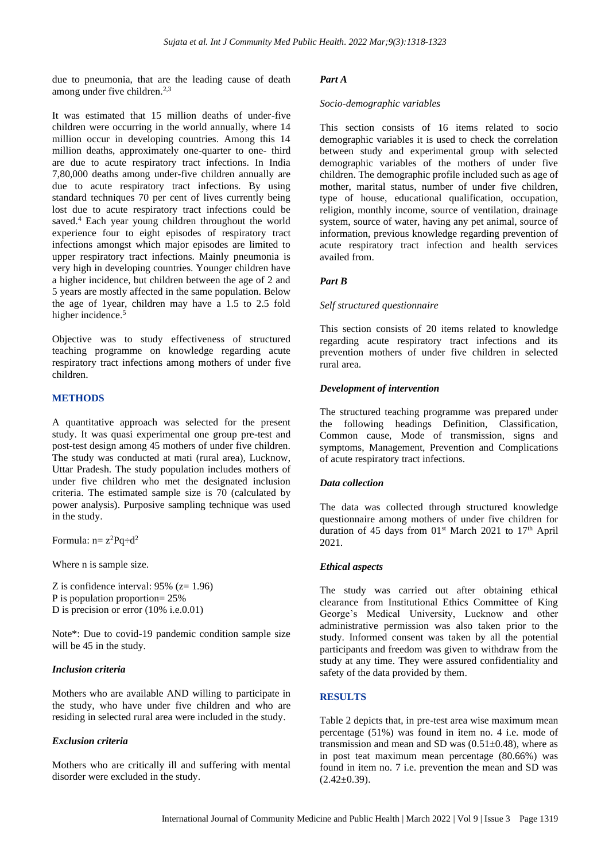due to pneumonia, that are the leading cause of death among under five children.<sup>2,3</sup>

It was estimated that 15 million deaths of under-five children were occurring in the world annually, where 14 million occur in developing countries. Among this 14 million deaths, approximately one-quarter to one- third are due to acute respiratory tract infections. In India 7,80,000 deaths among under-five children annually are due to acute respiratory tract infections. By using standard techniques 70 per cent of lives currently being lost due to acute respiratory tract infections could be saved.<sup>4</sup> Each year young children throughout the world experience four to eight episodes of respiratory tract infections amongst which major episodes are limited to upper respiratory tract infections. Mainly pneumonia is very high in developing countries. Younger children have a higher incidence, but children between the age of 2 and 5 years are mostly affected in the same population. Below the age of 1year, children may have a 1.5 to 2.5 fold higher incidence.<sup>5</sup>

Objective was to study effectiveness of structured teaching programme on knowledge regarding acute respiratory tract infections among mothers of under five children.

# **METHODS**

A quantitative approach was selected for the present study. It was quasi experimental one group pre-test and post-test design among 45 mothers of under five children. The study was conducted at mati (rural area), Lucknow, Uttar Pradesh. The study population includes mothers of under five children who met the designated inclusion criteria. The estimated sample size is 70 (calculated by power analysis). Purposive sampling technique was used in the study.

Formula:  $n = z^2Pq \div d^2$ 

Where n is sample size.

Z is confidence interval: 95% (z= 1.96) P is population proportion= 25% D is precision or error  $(10\%$  i.e.0.01)

Note\*: Due to covid-19 pandemic condition sample size will be 45 in the study.

#### *Inclusion criteria*

Mothers who are available AND willing to participate in the study, who have under five children and who are residing in selected rural area were included in the study.

#### *Exclusion criteria*

Mothers who are critically ill and suffering with mental disorder were excluded in the study.

#### *Part A*

#### *Socio-demographic variables*

This section consists of 16 items related to socio demographic variables it is used to check the correlation between study and experimental group with selected demographic variables of the mothers of under five children. The demographic profile included such as age of mother, marital status, number of under five children, type of house, educational qualification, occupation, religion, monthly income, source of ventilation, drainage system, source of water, having any pet animal, source of information, previous knowledge regarding prevention of acute respiratory tract infection and health services availed from.

#### *Part B*

#### *Self structured questionnaire*

This section consists of 20 items related to knowledge regarding acute respiratory tract infections and its prevention mothers of under five children in selected rural area.

# *Development of intervention*

The structured teaching programme was prepared under the following headings Definition, Classification, Common cause, Mode of transmission, signs and symptoms, Management, Prevention and Complications of acute respiratory tract infections.

#### *Data collection*

The data was collected through structured knowledge questionnaire among mothers of under five children for duration of 45 days from  $01<sup>st</sup>$  March 2021 to 17<sup>th</sup> April 2021.

#### *Ethical aspects*

The study was carried out after obtaining ethical clearance from Institutional Ethics Committee of King George's Medical University, Lucknow and other administrative permission was also taken prior to the study. Informed consent was taken by all the potential participants and freedom was given to withdraw from the study at any time. They were assured confidentiality and safety of the data provided by them.

#### **RESULTS**

Table 2 depicts that, in pre-test area wise maximum mean percentage (51%) was found in item no. 4 i.e. mode of transmission and mean and SD was  $(0.51\pm0.48)$ , where as in post teat maximum mean percentage (80.66%) was found in item no. 7 i.e. prevention the mean and SD was  $(2.42\pm0.39)$ .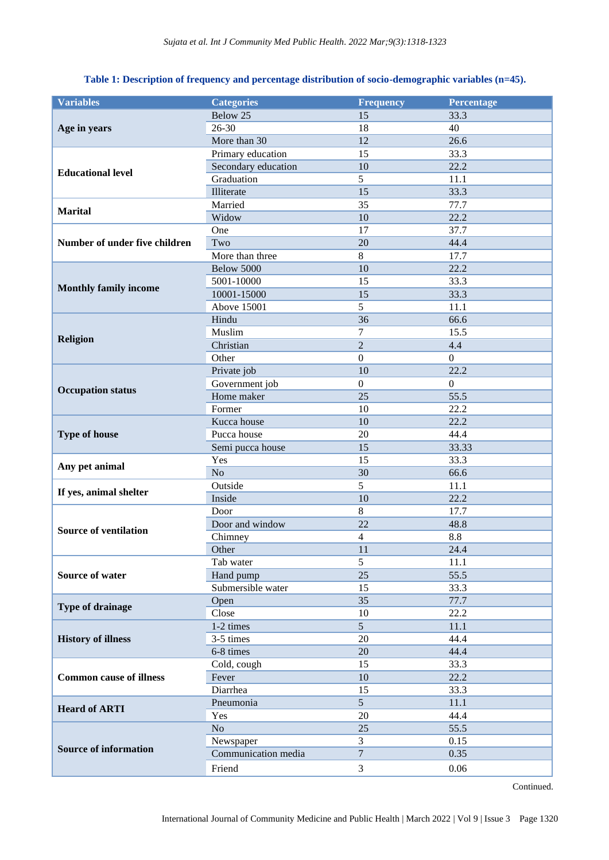# **Table 1: Description of frequency and percentage distribution of socio-demographic variables (n=45).**

| <b>Variables</b>               | <b>Categories</b>        | <b>Frequency</b> | Percentage     |
|--------------------------------|--------------------------|------------------|----------------|
|                                | Below 25                 | 15               | 33.3           |
| Age in years                   | $26 - 30$                | 18               | 40             |
|                                | More than 30             | 12               | 26.6           |
|                                | Primary education        | 15               | 33.3           |
|                                | Secondary education      | 10               | 22.2           |
| <b>Educational level</b>       | Graduation               | 5                | 11.1           |
|                                | Illiterate               | 15               | 33.3           |
|                                | Married                  | 35               | 77.7           |
| <b>Marital</b>                 | Widow                    | 10               | 22.2           |
|                                | One                      | 17               | 37.7           |
| Number of under five children  | Two                      | 20               | 44.4           |
|                                | More than three<br>$8\,$ |                  | 17.7           |
|                                | Below 5000               | 10               | 22.2           |
|                                | 5001-10000               | 15               | 33.3           |
| <b>Monthly family income</b>   | 10001-15000              | 15               | 33.3           |
|                                | <b>Above 15001</b>       | 5                | 11.1           |
|                                | Hindu                    | 36               | 66.6           |
|                                | Muslim                   | 7                | 15.5           |
| <b>Religion</b>                | Christian                | $\overline{2}$   | 4.4            |
|                                | Other                    | $\boldsymbol{0}$ | $\overline{0}$ |
|                                | Private job              | 10               | 22.2           |
|                                | Government job           | $\mathbf{0}$     | $\mathbf{0}$   |
| <b>Occupation status</b>       | Home maker               | 25               | 55.5           |
|                                | Former                   | 10               | 22.2           |
|                                | Kucca house              | 10               | 22.2           |
| <b>Type of house</b>           | Pucca house              | 20               | 44.4           |
|                                | Semi pucca house         | 15               | 33.33          |
|                                | Yes                      | 15               | 33.3           |
| Any pet animal                 | N <sub>o</sub>           | 30               | 66.6           |
|                                | Outside                  | 5                | 11.1           |
| If yes, animal shelter         | Inside                   | 10               | 22.2           |
|                                | Door                     | $8\,$            | 17.7           |
| <b>Source of ventilation</b>   | Door and window          | 22               | 48.8           |
|                                | Chimney                  | $\overline{4}$   | 8.8            |
|                                | Other                    | 11               | 24.4           |
|                                | Tab water                | 5                | 11.1           |
| <b>Source of water</b>         | Hand pump                | 25               | 55.5           |
|                                | Submersible water        | 15               | 33.3           |
| <b>Type of drainage</b>        | Open                     | 35               | 77.7           |
|                                | Close                    | 10               | 22.2           |
|                                | $1-2$ times              | $\overline{5}$   | 11.1           |
| <b>History of illness</b>      | 3-5 times                | 20               | 44.4           |
|                                | 6-8 times                | 20               | 44.4           |
|                                | Cold, cough              | 15               | 33.3           |
| <b>Common cause of illness</b> | Fever                    | 10               | 22.2           |
|                                | Diarrhea                 | 15               | 33.3           |
| <b>Heard of ARTI</b>           | Pneumonia                | 5                | 11.1           |
|                                | Yes                      | 20               | 44.4           |
|                                | N <sub>o</sub>           | 25               | 55.5           |
|                                | Newspaper                | 3                | 0.15           |
| <b>Source of information</b>   | Communication media      | $\boldsymbol{7}$ | 0.35           |
|                                | Friend                   | 3                | 0.06           |
|                                |                          |                  |                |

Continued.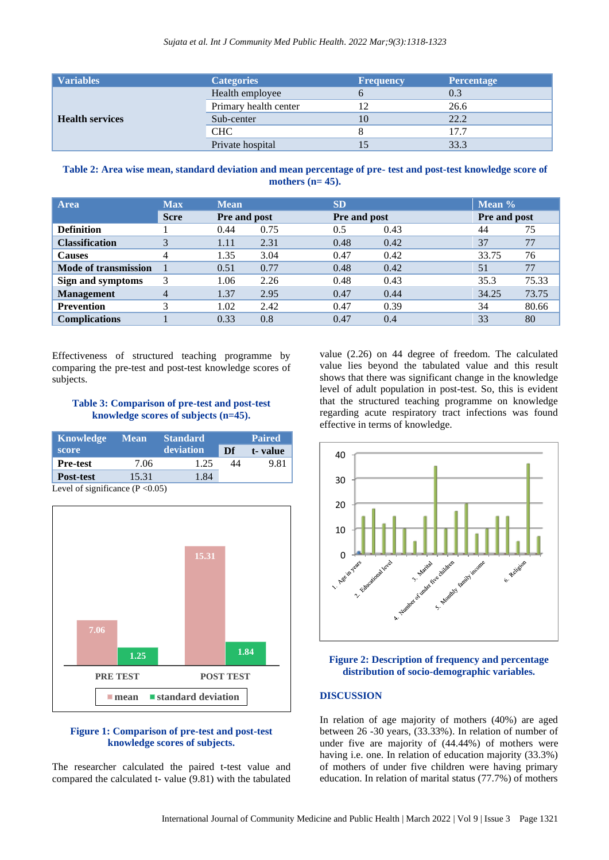| <b>Variables</b>       | <b>Categories</b>     | <b>Frequency</b> | <b>Percentage</b> |
|------------------------|-----------------------|------------------|-------------------|
| <b>Health services</b> | Health employee       |                  | 0.3               |
|                        | Primary health center |                  | 26.6              |
|                        | Sub-center            | 10               | 22.2              |
|                        | <b>CHC</b>            |                  | 177               |
|                        | Private hospital      |                  | 33.3              |

## **Table 2: Area wise mean, standard deviation and mean percentage of pre- test and post-test knowledge score of mothers (n= 45).**

| <b>Area</b>                 | <b>Max</b>     | <b>Mean</b><br>Pre and post |      | <b>SD</b>           |      | Mean $%$     |       |
|-----------------------------|----------------|-----------------------------|------|---------------------|------|--------------|-------|
|                             | <b>Scre</b>    |                             |      | <b>Pre and post</b> |      | Pre and post |       |
| <b>Definition</b>           |                | 0.44                        | 0.75 | 0.5                 | 0.43 | 44           | 75    |
| <b>Classification</b>       | 3              | 1.11                        | 2.31 | 0.48                | 0.42 | 37           | 77    |
| <b>Causes</b>               | 4              | 1.35                        | 3.04 | 0.47                | 0.42 | 33.75        | 76    |
| <b>Mode of transmission</b> |                | 0.51                        | 0.77 | 0.48                | 0.42 | 51           | 77    |
| Sign and symptoms           | 3              | 1.06                        | 2.26 | 0.48                | 0.43 | 35.3         | 75.33 |
| <b>Management</b>           | $\overline{4}$ | 1.37                        | 2.95 | 0.47                | 0.44 | 34.25        | 73.75 |
| <b>Prevention</b>           | 3              | 1.02                        | 2.42 | 0.47                | 0.39 | 34           | 80.66 |
| <b>Complications</b>        |                | 0.33                        | 0.8  | 0.47                | 0.4  | 33           | 80    |

Effectiveness of structured teaching programme by comparing the pre-test and post-test knowledge scores of subjects.

## **Table 3: Comparison of pre-test and post-test knowledge scores of subjects (n=45).**

| Knowledge       | <b>Mean</b>                         | <b>Standard</b> | <b>Paired</b> |         |  |
|-----------------|-------------------------------------|-----------------|---------------|---------|--|
| score           |                                     | deviation       | Df            | t-value |  |
| <b>Pre-test</b> | 7.06                                | 1.25            | 44            | 9.81    |  |
| Post-test       | 15.31                               | 1.84            |               |         |  |
| .               | $\sqrt{2}$ $\wedge$ $\wedge$ $\sim$ |                 |               |         |  |

Level of significance  $(P \le 0.05)$ 



# **Figure 1: Comparison of pre-test and post-test knowledge scores of subjects.**

The researcher calculated the paired t-test value and compared the calculated t- value (9.81) with the tabulated

value (2.26) on 44 degree of freedom. The calculated value lies beyond the tabulated value and this result shows that there was significant change in the knowledge level of adult population in post-test. So, this is evident that the structured teaching programme on knowledge regarding acute respiratory tract infections was found effective in terms of knowledge.



**Figure 2: Description of frequency and percentage distribution of socio-demographic variables.**

#### **DISCUSSION**

In relation of age majority of mothers (40%) are aged between 26 -30 years, (33.33%). In relation of number of under five are majority of (44.44%) of mothers were having i.e. one. In relation of education majority (33.3%) of mothers of under five children were having primary education. In relation of marital status (77.7%) of mothers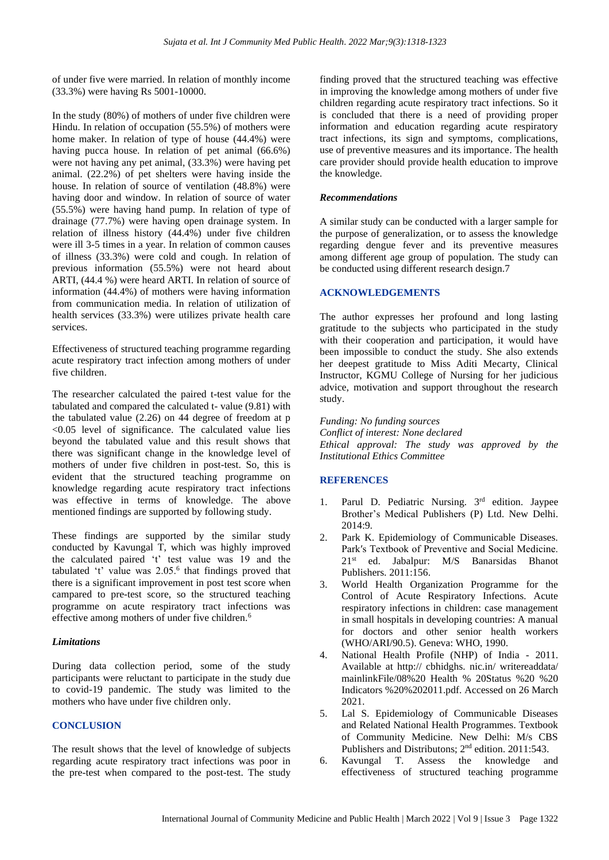of under five were married. In relation of monthly income (33.3%) were having Rs 5001-10000.

In the study (80%) of mothers of under five children were Hindu. In relation of occupation (55.5%) of mothers were home maker. In relation of type of house (44.4%) were having pucca house. In relation of pet animal (66.6%) were not having any pet animal, (33.3%) were having pet animal. (22.2%) of pet shelters were having inside the house. In relation of source of ventilation (48.8%) were having door and window. In relation of source of water (55.5%) were having hand pump. In relation of type of drainage (77.7%) were having open drainage system. In relation of illness history (44.4%) under five children were ill 3-5 times in a year. In relation of common causes of illness (33.3%) were cold and cough. In relation of previous information (55.5%) were not heard about ARTI, (44.4 %) were heard ARTI. In relation of source of information (44.4%) of mothers were having information from communication media. In relation of utilization of health services (33.3%) were utilizes private health care services.

Effectiveness of structured teaching programme regarding acute respiratory tract infection among mothers of under five children.

The researcher calculated the paired t-test value for the tabulated and compared the calculated t- value (9.81) with the tabulated value (2.26) on 44 degree of freedom at p <0.05 level of significance. The calculated value lies beyond the tabulated value and this result shows that there was significant change in the knowledge level of mothers of under five children in post-test. So, this is evident that the structured teaching programme on knowledge regarding acute respiratory tract infections was effective in terms of knowledge. The above mentioned findings are supported by following study.

These findings are supported by the similar study conducted by Kavungal T, which was highly improved the calculated paired 't' test value was 19 and the tabulated 't' value was 2.05.<sup>6</sup> that findings proved that there is a significant improvement in post test score when campared to pre-test score, so the structured teaching programme on acute respiratory tract infections was effective among mothers of under five children.<sup>6</sup>

# *Limitations*

During data collection period, some of the study participants were reluctant to participate in the study due to covid-19 pandemic. The study was limited to the mothers who have under five children only.

# **CONCLUSION**

The result shows that the level of knowledge of subjects regarding acute respiratory tract infections was poor in the pre-test when compared to the post-test. The study

finding proved that the structured teaching was effective in improving the knowledge among mothers of under five children regarding acute respiratory tract infections. So it is concluded that there is a need of providing proper information and education regarding acute respiratory tract infections, its sign and symptoms, complications, use of preventive measures and its importance. The health care provider should provide health education to improve the knowledge.

#### *Recommendations*

A similar study can be conducted with a larger sample for the purpose of generalization, or to assess the knowledge regarding dengue fever and its preventive measures among different age group of population. The study can be conducted using different research design.7

# **ACKNOWLEDGEMENTS**

The author expresses her profound and long lasting gratitude to the subjects who participated in the study with their cooperation and participation, it would have been impossible to conduct the study. She also extends her deepest gratitude to Miss Aditi Mecarty, Clinical Instructor, KGMU College of Nursing for her judicious advice, motivation and support throughout the research study.

*Funding: No funding sources*

*Conflict of interest: None declared Ethical approval: The study was approved by the Institutional Ethics Committee*

# **REFERENCES**

- 1. Parul D. Pediatric Nursing. 3<sup>rd</sup> edition. Jaypee Brother's Medical Publishers (P) Ltd. New Delhi. 2014:9.
- 2. Park K. Epidemiology of Communicable Diseases. Park′s Textbook of Preventive and Social Medicine. 21st ed. Jabalpur: M/S Banarsidas Bhanot Publishers. 2011:156.
- 3. World Health Organization Programme for the Control of Acute Respiratory Infections. Acute respiratory infections in children: case management in small hospitals in developing countries: A manual for doctors and other senior health workers (WHO/ARI/90.5). Geneva: WHO, 1990.
- 4. National Health Profile (NHP) of India 2011. Available at http:// cbhidghs. nic.in/ writereaddata/ mainlinkFile/08%20 Health % 20Status %20 %20 Indicators %20%202011.pdf. Accessed on 26 March 2021.
- 5. Lal S. Epidemiology of Communicable Diseases and Related National Health Programmes. Textbook of Community Medicine. New Delhi: M/s CBS Publishers and Distributons; 2<sup>nd</sup> edition. 2011:543.
- 6. Kavungal T. Assess the knowledge and effectiveness of structured teaching programme